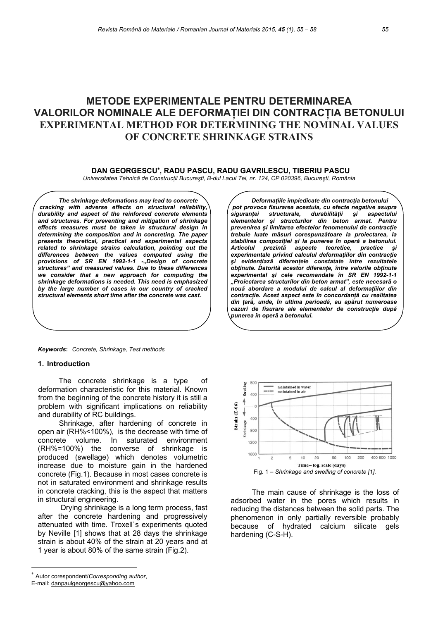# **METODE EXPERIMENTALE PENTRU DETERMINAREA VALORILOR NOMINALE ALE DEFORMAŢIEI DIN CONTRACŢIA BETONULUI EXPERIMENTAL METHOD FOR DETERMINING THE NOMINAL VALUES OF CONCRETE SHRINKAGE STRAINS**

## **DAN GEORGESCU**<sup>∗</sup> **, RADU PASCU, RADU GAVRILESCU, TIBERIU PASCU**

*Universitatea Tehnică de Construcţii Bucureşti, B-dul Lacul Tei, nr. 124, CP 020396, Bucureşti, România* 

*The shrinkage deformations may lead to concrete cracking with adverse effects on structural reliability, durability and aspect of the reinforced concrete elements and structures. For preventing and mitigation of shrinkage effects measures must be taken in structural design in determining the composition and in concreting. The paper presents theoretical, practical and experimental aspects related to shrinkage strains calculation, pointing out the differences between the values computed using the*  provisions of SR EN 1992-1-1 -"Design of concrete *structures" and measured values. Due to these differences we consider that a new approach for computing the shrinkage deformations is needed. This need is emphasized by the large number of cases in our country of cracked structural elements short time after the concrete was cast.* 

*Keywords***:** *Concrete, Shrinkage, Test methods* 

#### **1. Introduction**

The concrete shrinkage is a type of deformation characteristic for this material. Known from the beginning of the concrete history it is still a problem with significant implications on reliability and durability of RC buildings.

Shrinkage, after hardening of concrete in open air (RH%<100%), is the decrease with time of concrete volume. In saturated environment (RH%=100%) the converse of shrinkage is produced (swellage) which denotes volumetric increase due to moisture gain in the hardened concrete (Fig.1). Because in most cases concrete is not in saturated environment and shrinkage results in concrete cracking, this is the aspect that matters in structural engineering.

Drying shrinkage is a long term process, fast after the concrete hardening and progressively attenuated with time. Troxell`s experiments quoted by Neville [1] shows that at 28 days the shrinkage strain is about 40% of the strain at 20 years and at 1 year is about 80% of the same strain (Fig.2).

E-mail: danpaulgeorgescu@yahoo.com

l

*Deformaţiile împiedicate din contracţia betonului pot provoca fisurarea acestuia, cu efecte negative asupra siguranţei structurale, durabilităţii şi aspectului elementelor şi structurilor din beton armat. Pentru prevenirea şi limitarea efectelor fenomenului de contracţie trebuie luate măsuri corespunzătoare la proiectarea, la stabilirea compoziţiei şi la punerea în operă a betonului. Articolul prezintă aspecte teoretice, practice şi experimentale privind calculul deformaţiilor din contracţie şi evidenţiază diferenţele constatate între rezultatele obţinute. Datorită acestor diferenţe, între valorile obţinute experimental şi cele recomandate în SR EN 1992-1-1 "Proiectarea structurilor din beton armat", este necesară o nouă abordare a modului de calcul al deformaţiilor din contracţie. Acest aspect este în concordanţă cu realitatea din ţară, unde, în ultima perioadă, au apărut numeroase cazuri de fisurare ale elementelor de construcţie după punerea în operă a betonului.* 



The main cause of shrinkage is the loss of adsorbed water in the pores which results in reducing the distances between the solid parts. The phenomenon in only partially reversible probably because of hydrated calcium silicate gels hardening (C-S-H).

<sup>∗</sup> Autor corespondent/*Corresponding author*,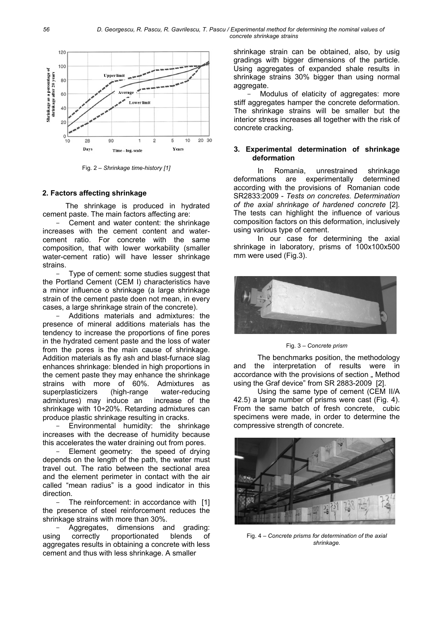

Fig. 2 - Shrinkage time-history [1]

# 2. Factors affecting shrinkage

The shrinkage is produced in hydrated cement paste. The main factors affecting are:

Cement and water content: the shrinkage increases with the cement content and watercement ratio. For concrete with the same composition, that with lower workability (smaller water-cement ratio) will have lesser shrinkage strains

Type of cement: some studies suggest that the Portland Cement (CEM I) characteristics have a minor influence o shrinkage (a large shrinkage strain of the cement paste doen not mean, in every cases, a large shrinkage strain of the concrete).

Additions materials and admixtures: the presence of mineral additions materials has the tendency to increase the proportions of fine pores in the hydrated cement paste and the loss of water from the pores is the main cause of shrinkage. Addition materials as fly ash and blast-furnace slag enhances shrinkage: blended in high proportions in the cement paste they may enhance the shrinkage strains with more of 60%. Admixtures as superplasticizers (high-range) water-reducing admixtures) may induce an increase of the shrinkage with 10÷20%. Retarding admixtures can produce plastic shrinkage resulting in cracks.

Environmental humidity: the shrinkage increases with the decrease of humidity because this accelerates the water draining out from pores.

Element geometry: the speed of drying depends on the length of the path, the water must travel out. The ratio between the sectional area and the element perimeter in contact with the air called "mean radius" is a good indicator in this direction.

The reinforcement: in accordance with [1] the presence of steel reinforcement reduces the shrinkage strains with more than 30%.

Aggregates, dimensions and grading: proportionated blends correctly of using aggregates results in obtaining a concrete with less cement and thus with less shrinkage. A smaller

shrinkage strain can be obtained, also, by usig gradings with bigger dimensions of the particle. Using aggregates of expanded shale results in shrinkage strains 30% bigger than using normal aggregate.

Modulus of elaticity of aggregates: more stiff aggregates hamper the concrete deformation. The shrinkage strains will be smaller but the interior stress increases all together with the risk of concrete cracking.

### 3. Experimental determination of shrinkage deformation

Romania, unrestrained In shrinkage deformations are experimentally determined according with the provisions of Romanian code SR2833:2009 - Tests on concretes. Determination of the axial shrinkage of hardened concrete [2]. The tests can highlight the influence of various composition factors on this deformation, inclusively using various type of cement.

In our case for determining the axial shrinkage in laboratory, prisms of 100x100x500 mm were used (Fig.3).



Fig. 3 - Concrete prism

The benchmarks position, the methodology and the interpretation of results were in accordance with the provisions of section " Method using the Graf device" from SR 2883-2009 [2].

Using the same type of cement (CEM II/A 42.5) a large number of prisms were cast (Fig. 4). From the same batch of fresh concrete. cubic specimens were made, in order to determine the compressive strength of concrete.



Fig. 4 - Concrete prisms for determination of the axial shrinkage.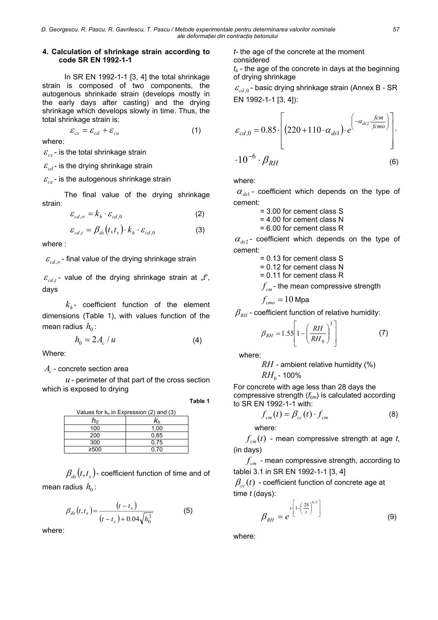#### **4. Calculation of shrinkage strain according to code SR EN 1992-1-1**

In SR EN 1992-1-1 [3, 4] the total shrinkage strain is composed of two components, the autogenous shrinkade strain (develops mostly in the early days after casting) and the drying shrinkage which develops slowly in time. Thus, the total shrinkage strain is:

$$
\varepsilon_{cs} = \varepsilon_{cd} + \varepsilon_{ca} \tag{1}
$$

where:

 $\varepsilon$ <sub>ss</sub> - is the total shrinkage strain

 $\varepsilon_{cd}$  - is the drying shrinkage strain

 $\varepsilon_{ca}$  - is the autogenous shrinkage strain

The final value of the drying shrinkage strain:

$$
\varepsilon_{cd,\infty} = k_h \cdot \varepsilon_{cd,0} \tag{2}
$$

$$
\varepsilon_{cd,t} = \beta_{ds}(t,t_s) \cdot k_h \cdot \varepsilon_{cd,0}
$$
 (3)

where :

 $\varepsilon_{cd}$   $\sim$  final value of the drying shrinkage strain

 $\varepsilon_{c}$  *c<sub>d</sub> t* - value of the drying shrinkage strain at  $\pi$ , *t*<sup>"</sup>, days

 $k_{\iota}$ - coefficient function of the element dimensions (Table 1), with values function of the mean radius  $h_0$ :

$$
h_0 = 2A_c/u \tag{4}
$$

Where:

A<sub>c</sub> - concrete section area

*u* - perimeter of that part of the cross section which is exposed to drying

**Table 1** 

| Values for $k_h$ in Expression (2) and (3) |      |  |  |  |
|--------------------------------------------|------|--|--|--|
| h۵                                         | Kь   |  |  |  |
| 100                                        | 1.00 |  |  |  |
| 200                                        | 0.85 |  |  |  |
| 300                                        | 0.75 |  |  |  |
| ≥500                                       | 0.70 |  |  |  |

 $\beta_{\mu}$   $(t, t_{\mu})$  - coefficient function of time and of mean radius  $h_0$ :

$$
\beta_{ds}(t,t_s) = \frac{(t-t_s)}{(t-t_s) + 0.04\sqrt{h_0^3}}
$$
(5)

where:

*t-* the age of the concrete at the moment considered

*ts* - the age of the concrete in days at the beginning of drying shrinkage

 $\varepsilon_{cd,0}$  - basic drying shrinkage strain (Annex B - SR) EN 1992-1-1 [3, 4]):

$$
\varepsilon_{cd,0} = 0.85 \cdot \left[ \left( 220 + 110 \cdot \alpha_{ds1} \right) \cdot e^{-\alpha_{ds2} \cdot \frac{fcm}{fcm0}} \right] \cdot 10^{-6} \cdot \beta_{RH} \tag{6}
$$

where:

 $\alpha_{ds1}$  - coefficient which depends on the type of cement:

= 3.00 for cement class S

= 4.00 for cement class N

= 6.00 for cement class R

 $\alpha_{ds2}$ - coefficient which depends on the type of cement:

= 0.13 for cement class S

= 0.12 for cement class N

= 0.11 for cement class R

*f<sub>cm</sub>* - the mean compressive strength

$$
f_{_{\textit{cmo}}} = 10 \text{ Mpa}
$$

 $\beta_{\scriptscriptstyle RH}$  - coefficient function of relative humidity:

$$
\beta_{RH} = 1.55 \left[ 1 - \left( \frac{RH}{RH_0} \right)^3 \right] \tag{7}
$$

where:

*RH* - ambient relative humidity (%)

 $RH_{0}$  - 100%

For concrete with age less than 28 days the compressive strength (*fcm*) is calculated according to SR EN 1992-1-1 with:

$$
f_{cm}(t) = \beta_{cc}(t) \cdot f_{cm}
$$
 (8)

where:

 $f_{cm}(t)$  - mean compressive strength at age *t*, (in days)

*cm f* - mean compressive strength, according to tablei 3.1 in SR EN 1992-1-1 [3, 4]

 $\beta_{cc}(t)$  - coefficient function of concrete age at time *t* (days):

$$
\beta_{RH} = e^{\int s \left[1 - \left(\frac{28}{t}\right)^{0.5}\right]}
$$
(9)

where: